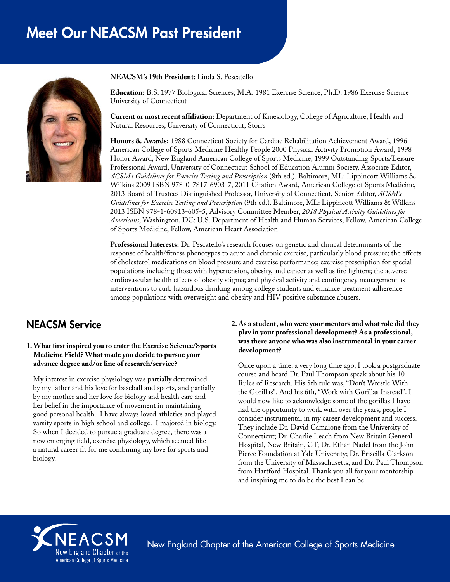# Meet Our NEACSM Past President



**NEACSM's 19th President:** Linda S. Pescatello

**Education:** B.S. 1977 Biological Sciences; M.A. 1981 Exercise Science; Ph.D. 1986 Exercise Science University of Connecticut

**Current or most recent affiliation:** Department of Kinesiology, College of Agriculture, Health and Natural Resources, University of Connecticut, Storrs

**Honors & Awards:** 1988 Connecticut Society for Cardiac Rehabilitation Achievement Award, 1996 American College of Sports Medicine Healthy People 2000 Physical Activity Promotion Award, 1998 Honor Award, New England American College of Sports Medicine, 1999 Outstanding Sports/Leisure Professional Award, University of Connecticut School of Education Alumni Society, Associate Editor, *ACSM's Guidelines for Exercise Testing and Prescription* (8th ed.). Baltimore, ML: Lippincott Williams & Wilkins 2009 ISBN 978-0-7817-6903-7, 2011 Citation Award, American College of Sports Medicine, 2013 Board of Trustees Distinguished Professor, University of Connecticut, Senior Editor, *ACSM's Guidelines for Exercise Testing and Prescription* (9th ed.). Baltimore, ML: Lippincott Williams & Wilkins 2013 ISBN 978-1-60913-605-5, Advisory Committee Member, *2018 Physical Activity Guidelines for Americans*, Washington, DC: U.S. Department of Health and Human Services, Fellow, American College of Sports Medicine, Fellow, American Heart Association

**Professional Interests:** Dr. Pescatello's research focuses on genetic and clinical determinants of the response of health/fitness phenotypes to acute and chronic exercise, particularly blood pressure; the effects of cholesterol medications on blood pressure and exercise performance; exercise prescription for special populations including those with hypertension, obesity, and cancer as well as fire fighters; the adverse cardiovascular health effects of obesity stigma; and physical activity and contingency management as interventions to curb hazardous drinking among college students and enhance treatment adherence among populations with overweight and obesity and HIV positive substance abusers.

# NEACSM Service

#### **1. What first inspired you to enter the Exercise Science/Sports Medicine Field? What made you decide to pursue your advance degree and/or line of research/service?**

My interest in exercise physiology was partially determined by my father and his love for baseball and sports, and partially by my mother and her love for biology and health care and her belief in the importance of movement in maintaining good personal health. I have always loved athletics and played varsity sports in high school and college. I majored in biology. So when I decided to pursue a graduate degree, there was a new emerging field, exercise physiology, which seemed like a natural career fit for me combining my love for sports and biology.

#### **2. As a student, who were your mentors and what role did they play in your professional development? As a professional, was there anyone who was also instrumental in your career development?**

Once upon a time, a very long time ago, I took a postgraduate course and heard Dr. Paul Thompson speak about his 10 Rules of Research. His 5th rule was, "Don't Wrestle With the Gorillas". And his 6th, "Work with Gorillas Instead". I would now like to acknowledge some of the gorillas I have had the opportunity to work with over the years; people I consider instrumental in my career development and success. They include Dr. David Camaione from the University of Connecticut; Dr. Charlie Leach from New Britain General Hospital, New Britain, CT; Dr. Ethan Nadel from the John Pierce Foundation at Yale University; Dr. Priscilla Clarkson from the University of Massachusetts; and Dr. Paul Thompson from Hartford Hospital. Thank you all for your mentorship and inspiring me to do be the best I can be.



New England Chapter of the American College of Sports Medicine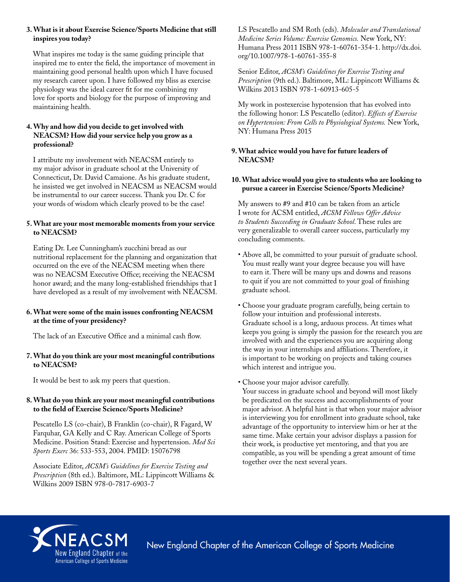## **3. What is it about Exercise Science/Sports Medicine that still inspires you today?**

What inspires me today is the same guiding principle that inspired me to enter the field, the importance of movement in maintaining good personal health upon which I have focused my research career upon. I have followed my bliss as exercise physiology was the ideal career fit for me combining my love for sports and biology for the purpose of improving and maintaining health.

## **4. Why and how did you decide to get involved with NEACSM? How did your service help you grow as a professional?**

I attribute my involvement with NEACSM entirely to my major advisor in graduate school at the University of Connecticut, Dr. David Camaione. As his graduate student, he insisted we get involved in NEACSM as NEACSM would be instrumental to our career success. Thank you Dr. C for your words of wisdom which clearly proved to be the case!

#### **5. What are your most memorable moments from your service to NEACSM?**

Eating Dr. Lee Cunningham's zucchini bread as our nutritional replacement for the planning and organization that occurred on the eve of the NEACSM meeting when there was no NEACSM Executive Office; receiving the NEACSM honor award; and the many long-established friendships that I have developed as a result of my involvement with NEACSM.

#### **6. What were some of the main issues confronting NEACSM at the time of your presidency?**

The lack of an Executive Office and a minimal cash flow.

#### **7. What do you think are your most meaningful contributions to NEACSM?**

It would be best to ask my peers that question.

## **8. What do you think are your most meaningful contributions to the field of Exercise Science/Sports Medicine?**

Pescatello LS (co-chair), B Franklin (co-chair), R Fagard, W Farquhar, GA Kelly and C Ray. American College of Sports Medicine. Position Stand: Exercise and hypertension. *Med Sci Sports Exerc* 36: 533-553, 2004. PMID: 15076798

Associate Editor, *ACSM's Guidelines for Exercise Testing and Prescription* (8th ed.). Baltimore, ML: Lippincott Williams & Wilkins 2009 ISBN 978-0-7817-6903-7

LS Pescatello and SM Roth (eds). *Molecular and Translational Medicine Series Volume: Exercise Genomics.* New York, NY: Humana Press 2011 ISBN 978-1-60761-354-1. http://dx.doi. org/10.1007/978-1-60761-355-8

Senior Editor, *ACSM's Guidelines for Exercise Testing and Prescription* (9th ed.). Baltimore, ML: Lippincott Williams & Wilkins 2013 ISBN 978-1-60913-605-5

My work in postexercise hypotension that has evolved into the following honor: LS Pescatello (editor). *Effects of Exercise on Hypertension: From Cells to Physiological Systems.* New York, NY: Humana Press 2015

#### **9. What advice would you have for future leaders of NEACSM?**

#### **10. What advice would you give to students who are looking to pursue a career in Exercise Science/Sports Medicine?**

My answers to #9 and #10 can be taken from an article I wrote for ACSM entitled, *ACSM Fellows Offer Advice to Students Succeeding in Graduate School*. These rules are very generalizable to overall career success, particularly my concluding comments.

- Above all, be committed to your pursuit of graduate school. You must really want your degree because you will have to earn it. There will be many ups and downs and reasons to quit if you are not committed to your goal of finishing graduate school.
- Choose your graduate program carefully, being certain to follow your intuition and professional interests. Graduate school is a long, arduous process. At times what keeps you going is simply the passion for the research you are involved with and the experiences you are acquiring along the way in your internships and affiliations. Therefore, it is important to be working on projects and taking courses which interest and intrigue you.
- Choose your major advisor carefully.

Your success in graduate school and beyond will most likely be predicated on the success and accomplishments of your major advisor. A helpful hint is that when your major advisor is interviewing you for enrollment into graduate school, take advantage of the opportunity to interview him or her at the same time. Make certain your advisor displays a passion for their work, is productive yet mentoring, and that you are compatible, as you will be spending a great amount of time together over the next several years.



New England Chapter of the American College of Sports Medicine New England Chapter of the American College of Sports Medicine